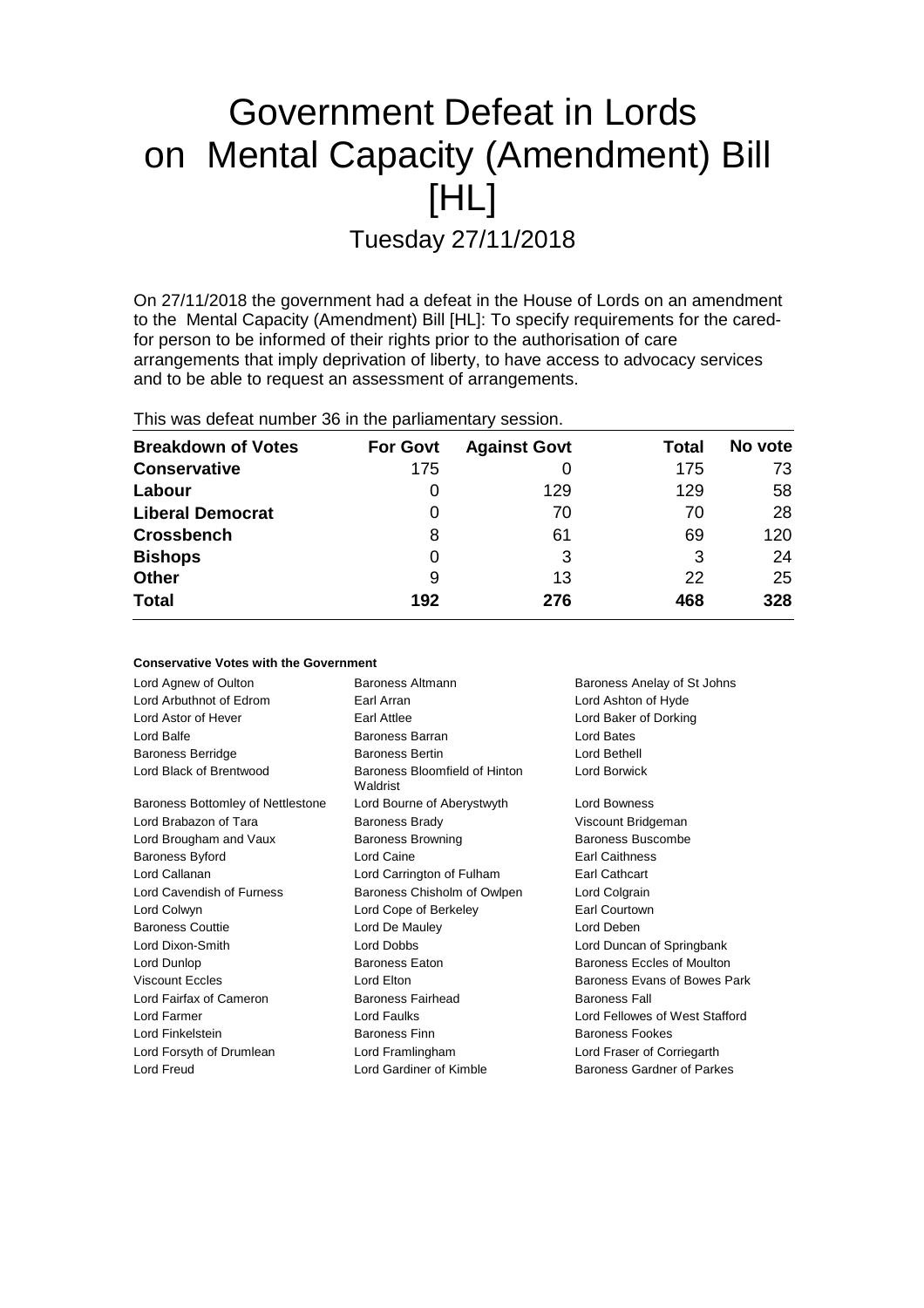# Government Defeat in Lords on Mental Capacity (Amendment) Bill [HL]

Tuesday 27/11/2018

On 27/11/2018 the government had a defeat in the House of Lords on an amendment to the Mental Capacity (Amendment) Bill [HL]: To specify requirements for the caredfor person to be informed of their rights prior to the authorisation of care arrangements that imply deprivation of liberty, to have access to advocacy services and to be able to request an assessment of arrangements.

|  |  |  |  |  | This was defeat number 36 in the parliamentary session. |  |
|--|--|--|--|--|---------------------------------------------------------|--|
|--|--|--|--|--|---------------------------------------------------------|--|

**Conservative Votes with the Government**

| <b>Breakdown of Votes</b> | <b>For Govt</b> | <b>Against Govt</b> | Total | No vote |
|---------------------------|-----------------|---------------------|-------|---------|
| <b>Conservative</b>       | 175             |                     | 175   | 73      |
| Labour                    | 0               | 129                 | 129   | 58      |
| <b>Liberal Democrat</b>   | 0               | 70                  | 70    | 28      |
| <b>Crossbench</b>         | 8               | 61                  | 69    | 120     |
| <b>Bishops</b>            | 0               | 3                   | 3     | 24      |
| <b>Other</b>              | 9               | 13                  | 22    | 25      |
| <b>Total</b>              | 192             | 276                 | 468   | 328     |

| Conservative votes with the Government |                                           |                                |
|----------------------------------------|-------------------------------------------|--------------------------------|
| Lord Agnew of Oulton                   | <b>Baroness Altmann</b>                   | Baroness Anelay of St Johns    |
| Lord Arbuthnot of Edrom                | Earl Arran                                | Lord Ashton of Hyde            |
| Lord Astor of Hever                    | Earl Attlee                               | Lord Baker of Dorking          |
| Lord Balfe                             | Baroness Barran                           | Lord Bates                     |
| <b>Baroness Berridge</b>               | <b>Baroness Bertin</b>                    | Lord Bethell                   |
| Lord Black of Brentwood                | Baroness Bloomfield of Hinton<br>Waldrist | <b>Lord Borwick</b>            |
| Baroness Bottomley of Nettlestone      | Lord Bourne of Aberystwyth                | <b>Lord Bowness</b>            |
| Lord Brabazon of Tara                  | <b>Baroness Brady</b>                     | Viscount Bridgeman             |
| Lord Brougham and Vaux                 | <b>Baroness Browning</b>                  | Baroness Buscombe              |
| <b>Baroness Byford</b>                 | Lord Caine                                | <b>Earl Caithness</b>          |
| Lord Callanan                          | Lord Carrington of Fulham                 | Earl Cathcart                  |
| Lord Cavendish of Furness              | Baroness Chisholm of Owlpen               | Lord Colgrain                  |
| Lord Colwyn                            | Lord Cope of Berkeley                     | Earl Courtown                  |
| <b>Baroness Couttie</b>                | Lord De Mauley                            | Lord Deben                     |
| Lord Dixon-Smith                       | Lord Dobbs                                | Lord Duncan of Springbank      |
| Lord Dunlop                            | <b>Baroness Eaton</b>                     | Baroness Eccles of Moulton     |
| <b>Viscount Eccles</b>                 | Lord Elton                                | Baroness Evans of Bowes Park   |
| Lord Fairfax of Cameron                | <b>Baroness Fairhead</b>                  | <b>Baroness Fall</b>           |
| Lord Farmer                            | Lord Faulks                               | Lord Fellowes of West Stafford |
| Lord Finkelstein                       | <b>Baroness Finn</b>                      | <b>Baroness Fookes</b>         |
| Lord Forsyth of Drumlean               | Lord Framlingham                          | Lord Fraser of Corriegarth     |
| Lord Freud                             | Lord Gardiner of Kimble                   | Baroness Gardner of Parkes     |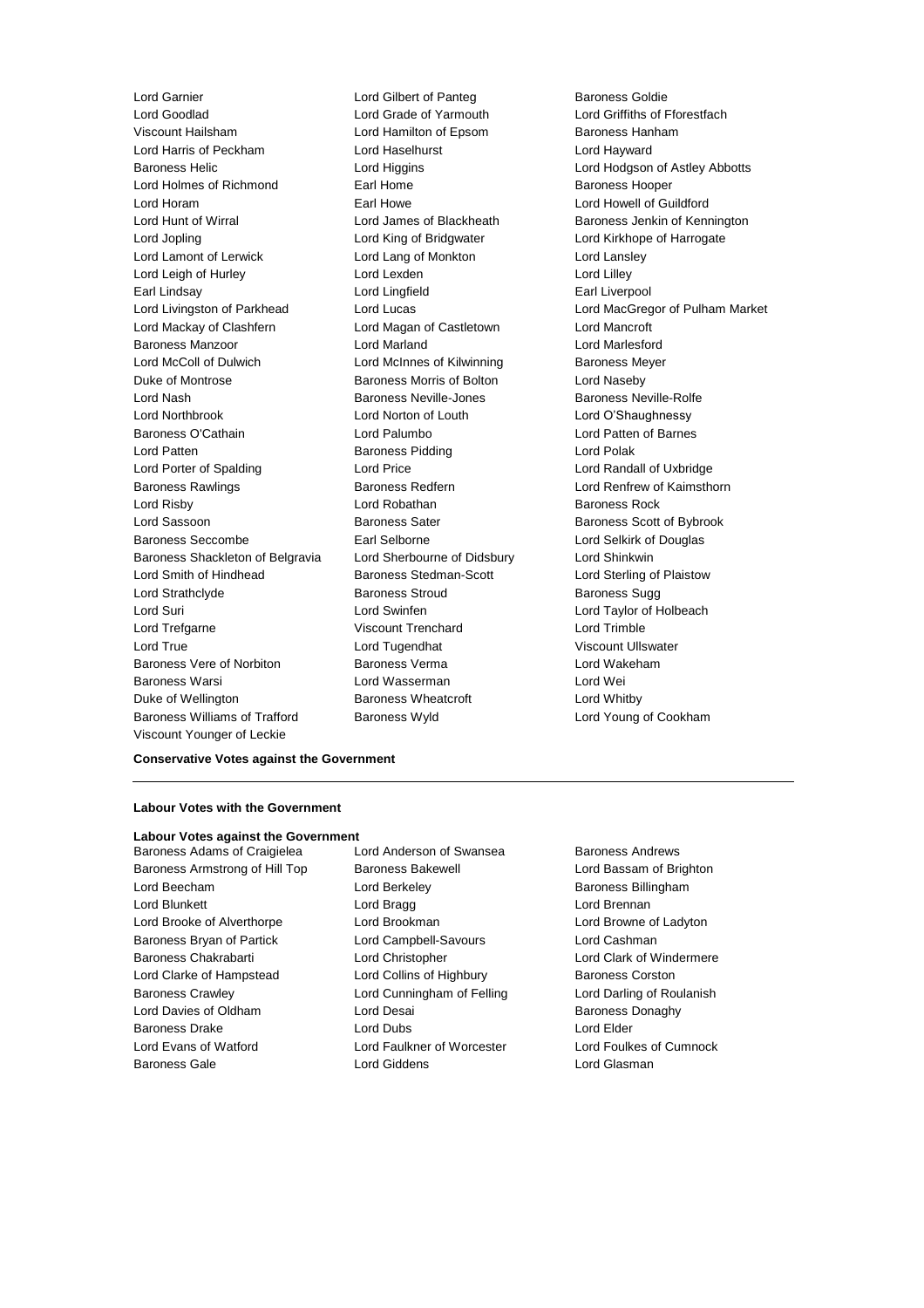Lord Garnier **Lord Gilbert of Panteg Corporation**<br>
Lord Goodlad **Corporation Lord Grade of Yarmouth** Corporation Corporation Corporation Corporation Corporation Corporation Corporation Corporation Corporation Corporation C Lord Goodlad Lord Grade of Yarmouth Lord Griffiths of Fforestfach Lord Harris of Peckham Lord Haselhurst Lord Hayward Baroness Helic **Mateur Constructed Higgins** Lord Higgins **Lord Hodgson of Astley Abbotts** Lord Holmes of Richmond Earl Home Earl Home Baroness Hooper<br>
Earl Howe Baroness Hooper Earl Howe Baroness Hooper Lord Horam **Earl Howe** Earl Howe **Lord Howell of Guildford**<br>
Lord Hunt of Wirral **Earl Howe** Lord James of Blackheath **Earl Baroness Jenkin of Kenr** Lord Hunt of Wirral **Lord James of Blackheath** Baroness Jenkin of Kennington Lord Jopling **Lord King of Bridgwater** Lord Kirkhope of Harrogate Lord Lamont of Lerwick Lord Lang of Monkton Lord Lansley Lord Leigh of Hurley **Lord Lexden** Lord Lexden **Lord Lord Lilley** Earl Lindsay **Earl Lingfield** Earl Liverpool Lord Livingston of Parkhead Lord Lucas Lord MacGregor of Pulham Market Lord Mackay of Clashfern Lord Magan of Castletown Lord Mancroft Baroness Manzoor Lord Marland Lord Marlesford Lord McColl of Dulwich Lord McInnes of Kilwinning Baroness Meyer Duke of Montrose Baroness Morris of Bolton Lord Naseby Lord Nash Baroness Neville-Jones Baroness Neville-Rolfe Lord Northbrook Lord Norton of Louth Lord O'Shaughnessy Baroness O'Cathain Lord Palumbo Lord Patten of Barnes Lord Patten Baroness Pidding Lord Polak Lord Porter of Spalding **Lord Price** Lord Price **Lord Randall of Uxbridge** Baroness Rawlings **Baroness Redfern Baroness Redfern Lord Renfrew of Kaimsthorn** Lord Risby **Lord Robathan** Baroness Rock Lord Sassoon **Baroness Sater** Baroness Sater Baroness Scott of Bybrook Baroness Seccombe Earl Selborne Lord Selkirk of Douglas Baroness Shackleton of Belgravia Lord Sherbourne of Didsbury Lord Shinkwin Lord Smith of Hindhead Baroness Stedman-Scott Lord Sterling of Plaistow Lord Strathclyde **Baroness Stroud** Baroness Stroud Baroness Sugg Lord Suri Lord Swinfen Lord Taylor of Holbeach Lord Trefgarne Viscount Trenchard Lord Trimble Lord True Lord Tugendhat Viscount Ullswater Baroness Vere of Norbiton Baroness Verma Lord Wakeham Baroness Warsi Lord Wasserman Lord Wei Duke of Wellington **Baroness Wheatcroft Lord Whitby** Baroness Williams of Trafford Baroness Wyld Lord Young of Cookham Viscount Younger of Leckie

Lord Hamilton of Epsom Baroness Hanham

**Conservative Votes against the Government**

### **Labour Votes with the Government**

## **Labour Votes against the Government**

Baroness Adams of Craigielea Lord Anderson of Swansea Baroness Andrews Baroness Armstrong of Hill Top Baroness Bakewell **Baroness Lord Bassam of Brighton** Lord Beecham **Lord Berkeley** Baroness Billingham Lord Blunkett Lord Bragg Lord Brennan Lord Brooke of Alverthorpe Lord Brookman Lord Browne of Ladyton Baroness Bryan of Partick Lord Campbell-Savours Lord Cashman Baroness Chakrabarti Lord Christopher Lord Clark of Windermere Lord Clarke of Hampstead Lord Collins of Highbury Baroness Corston Baroness Crawley **Lord Cunningham of Felling Carol** Lord Darling of Roulanish Lord Davies of Oldham **Lord Desai** Baroness Donaghy Baroness Drake Lord Dubs Lord Elder Lord Evans of Watford Lord Faulkner of Worcester Lord Foulkes of Cumnock Baroness Gale Lord Giddens Lord Glasman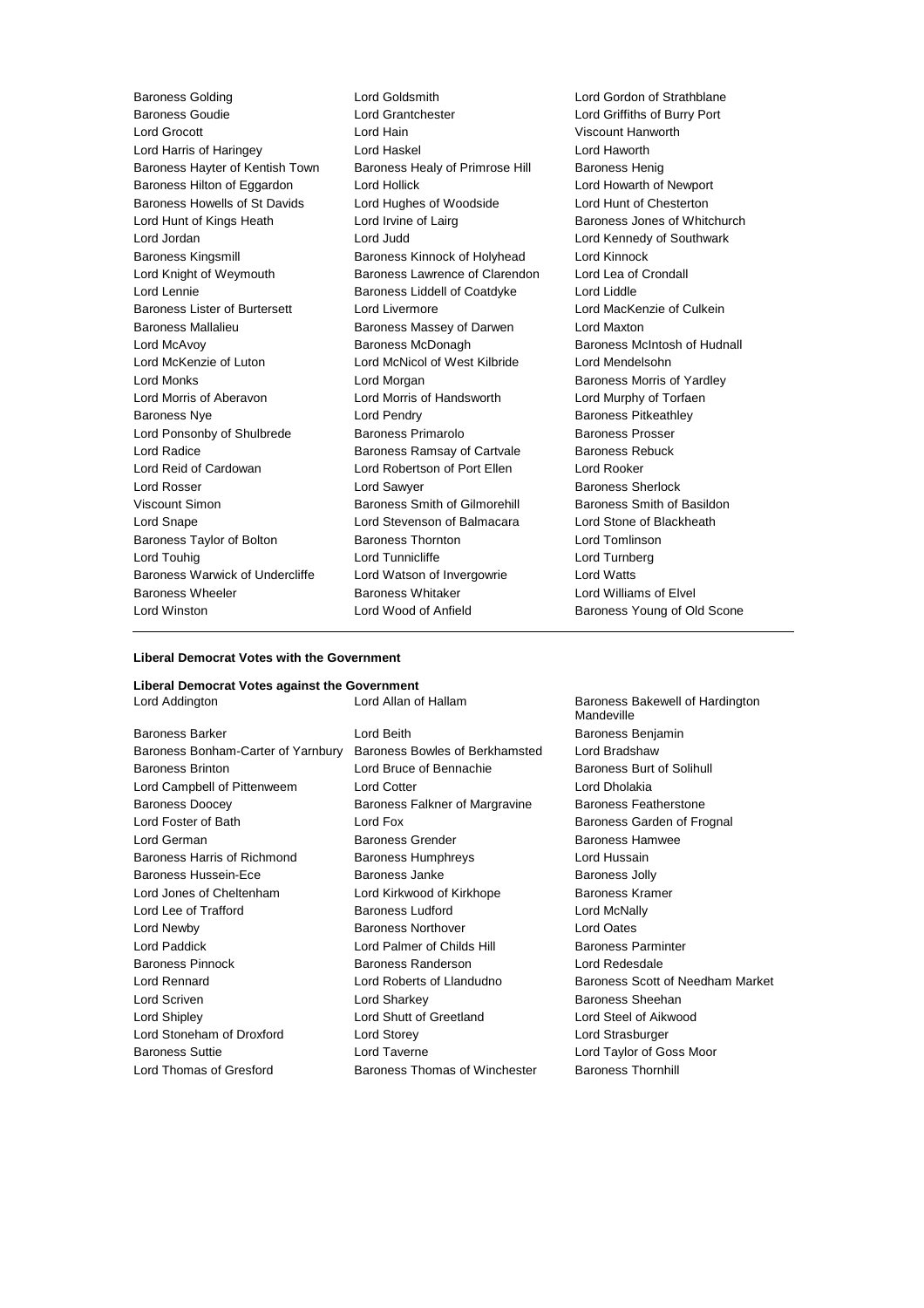Baroness Goudie Lord Grantchester Lord Griffiths of Burry Port Lord Grocott Lord Hain Viscount Hanworth Lord Harris of Haringey **Lord Haskel Lord Hanges** Lord Haworth Baroness Hayter of Kentish Town Baroness Healy of Primrose Hill Baroness Henig Baroness Hilton of Eggardon Lord Hollick Lord Howarth of Newport Baroness Howells of St Davids Lord Hughes of Woodside Lord Hunt of Chesterton Lord Hunt of Kings Heath Lord Irvine of Lairg Baroness Jones of Whitchurch Lord Jordan Lord Judd Lord Kennedy of Southwark Baroness Kingsmill Baroness Kinnock of Holyhead Lord Kinnock Lord Knight of Weymouth Baroness Lawrence of Clarendon Lord Lea of Crondall Lord Lennie Baroness Liddell of Coatdyke Lord Liddle Baroness Lister of Burtersett Lord Livermore Lord Lord MacKenzie of Culkein Baroness Mallalieu Baroness Massey of Darwen Lord Maxton Lord McAvoy Baroness McDonagh Baroness McIntosh of Hudnall Lord McKenzie of Luton Lord McNicol of West Kilbride Lord Mendelsohn Lord Monks **Lord Morgan** Lord Morgan Baroness Morris of Yardley Lord Morris of Aberavon Lord Morris of Handsworth Lord Murphy of Torfaen Baroness Nye **Lord Pendry Baroness Pitkeathley** Lord Ponsonby of Shulbrede Baroness Primarolo Baroness Prosser Lord Radice **Baroness Ramsay of Cartvale** Baroness Rebuck Lord Reid of Cardowan Lord Robertson of Port Ellen Lord Rooker Lord Rosser Lord Sawyer Baroness Sherlock Viscount Simon **Baroness Smith of Gilmorehill** Baroness Smith of Basildon Lord Snape Lord Stevenson of Balmacara Lord Stone of Blackheath Baroness Taylor of Bolton Baroness Thornton Baroness Thomas Lord Tomlinson Lord Touhig **Lord Tunnicliffe** Lord Tunnicliffe Lord Turnberg Baroness Warwick of Undercliffe Lord Watson of Invergowrie Lord Watts Baroness Wheeler **Baroness Whitaker Baroness Whitaker Lord Williams of Elvel** Lord Winston **Lord Wood of Anfield** Baroness Young of Old Scone

Baroness Golding Lord Goldsmith Lord Gordon of Strathblane

### **Liberal Democrat Votes with the Government**

#### **Liberal Democrat Votes against the Government**

Baroness Barker **Lord Beith** Baroness Benjamin Baroness Bonham-Carter of Yarnbury Baroness Bowles of Berkhamsted Lord Bradshaw Baroness Brinton Lord Bruce of Bennachie Baroness Burt of Solihull Lord Campbell of Pittenweem Lord Cotter Lord Dholakia Baroness Doocey **Baroness Falkner of Margravine** Baroness Featherstone Lord Foster of Bath **Lord Fox** Lord Fox **Baroness Garden of Frognal** Lord German **Baroness Grender** Baroness Hamwee Baroness Harris of Richmond Baroness Humphreys Lord Hussain Baroness Hussein-Ece **Baroness Janke** Baroness Janke **Baroness Jolly** Lord Jones of Cheltenham Lord Kirkwood of Kirkhope Baroness Kramer Lord Lee of Trafford **Baroness Ludford** Lord McNally Lord Newby Baroness Northover Lord Oates Lord Paddick **Lord Palmer of Childs Hill Baroness Parminter** Baroness Pinnock Baroness Randerson Lord Redesdale Lord Rennard Lord Roberts of Llandudno Baroness Scott of Needham Market Lord Scriven **Lord Sharkey Baroness Sheehan** Lord Shipley Lord Shutt of Greetland Lord Steel of Aikwood Lord Stoneham of Droxford Lord Storey Lord Strasburger Baroness Suttie Lord Taverne Lord Taylor of Goss Moor Lord Thomas of Gresford **Baroness Thomas of Winchester** Baroness Thornhill

Lord Addington **Lord Allan of Hallam** Baroness Bakewell of Hardington Mandeville